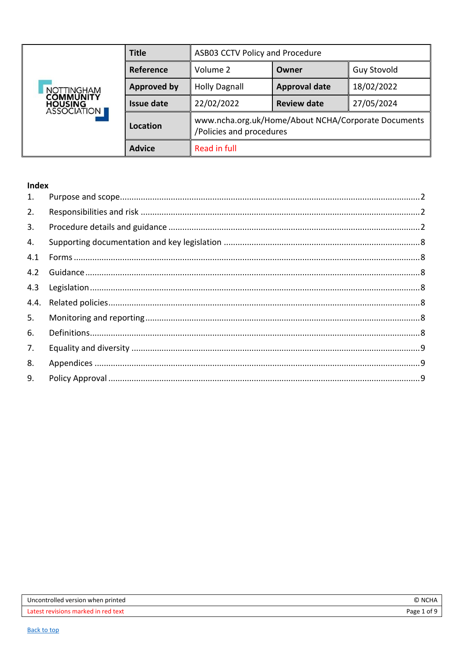<span id="page-0-0"></span>

|                                                    | <b>Title</b>       | ASB03 CCTV Policy and Procedure                                                 |                      |                    |
|----------------------------------------------------|--------------------|---------------------------------------------------------------------------------|----------------------|--------------------|
|                                                    | Reference          | Volume 2                                                                        | Owner                | <b>Guy Stovold</b> |
| <b>NOTTINGHAM</b>                                  | <b>Approved by</b> | <b>Holly Dagnall</b>                                                            | <b>Approval date</b> | 18/02/2022         |
| <b>COMMUNITY</b><br><b>HOUSING<br/>ASSOCIATION</b> | <b>Issue date</b>  | 22/02/2022                                                                      | <b>Review date</b>   | 27/05/2024         |
|                                                    | Location           | www.ncha.org.uk/Home/About NCHA/Corporate Documents<br>/Policies and procedures |                      |                    |
| <b>Advice</b><br>Read in full                      |                    |                                                                                 |                      |                    |

# Index

| 1.  |  |
|-----|--|
| 2.  |  |
| 3.  |  |
| 4.  |  |
| 4.1 |  |
| 4.2 |  |
| 4.3 |  |
|     |  |
| 5.  |  |
| 6.  |  |
| 7.  |  |
| 8.  |  |
| 9.  |  |
|     |  |

| Uncontrolled version when printed        | ີ NCHA      |
|------------------------------------------|-------------|
| s marked in red text<br>Latest revisions | Page 1 of 9 |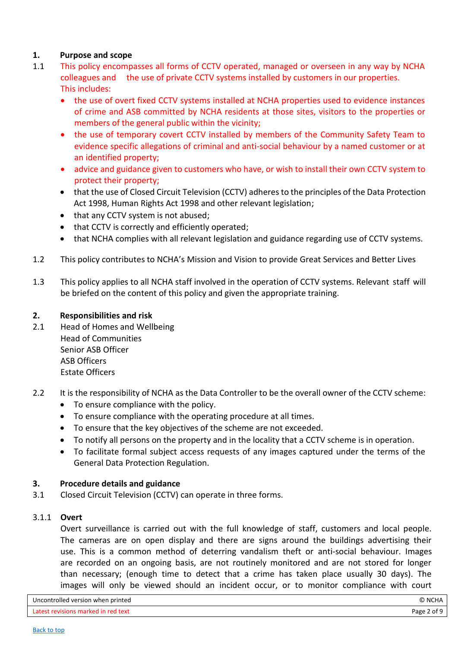## <span id="page-1-0"></span>**1. Purpose and scope**

- 1.1 This policy encompasses all forms of CCTV operated, managed or overseen in any way by NCHA colleagues and the use of private CCTV systems installed by customers in our properties. This includes:
	- the use of overt fixed CCTV systems installed at NCHA properties used to evidence instances of crime and ASB committed by NCHA residents at those sites, visitors to the properties or members of the general public within the vicinity;
	- the use of temporary covert CCTV installed by members of the Community Safety Team to evidence specific allegations of criminal and anti-social behaviour by a named customer or at an identified property;
	- advice and guidance given to customers who have, or wish to install their own CCTV system to protect their property;
	- that the use of Closed Circuit Television (CCTV) adheres to the principles of the Data Protection Act 1998, Human Rights Act 1998 and other relevant legislation;
	- that any CCTV system is not abused;
	- that CCTV is correctly and efficiently operated:
	- that NCHA complies with all relevant legislation and guidance regarding use of CCTV systems.
- 1.2 This policy contributes to NCHA's Mission and Vision to provide Great Services and Better Lives
- 1.3 This policy applies to all NCHA staff involved in the operation of CCTV systems. Relevant staff will be briefed on the content of this policy and given the appropriate training.

## <span id="page-1-1"></span>**2. Responsibilities and risk**

- 2.1 Head of Homes and Wellbeing Head of Communities Senior ASB Officer ASB Officers Estate Officers
- 2.2 It is the responsibility of NCHA as the Data Controller to be the overall owner of the CCTV scheme:
	- To ensure compliance with the policy.
	- To ensure compliance with the operating procedure at all times.
	- To ensure that the key objectives of the scheme are not exceeded.
	- To notify all persons on the property and in the locality that a CCTV scheme is in operation.
	- To facilitate formal subject access requests of any images captured under the terms of the General Data Protection Regulation.

### <span id="page-1-2"></span>**3. Procedure details and guidance**

3.1 Closed Circuit Television (CCTV) can operate in three forms.

### 3.1.1 **Overt**

Overt surveillance is carried out with the full knowledge of staff, customers and local people. The cameras are on open display and there are signs around the buildings advertising their use. This is a common method of deterring vandalism theft or anti-social behaviour. Images are recorded on an ongoing basis, are not routinely monitored and are not stored for longer than necessary; (enough time to detect that a crime has taken place usually 30 days). The images will only be viewed should an incident occur, or to monitor compliance with court

| Uncontrolled version when printed   | © NCHA      |
|-------------------------------------|-------------|
| Latest revisions marked in red text | Page 2 of 9 |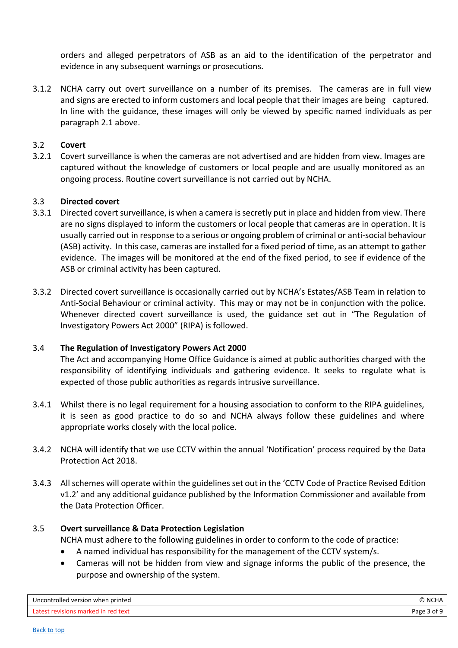orders and alleged perpetrators of ASB as an aid to the identification of the perpetrator and evidence in any subsequent warnings or prosecutions.

3.1.2 NCHA carry out overt surveillance on a number of its premises. The cameras are in full view and signs are erected to inform customers and local people that their images are being captured. In line with the guidance, these images will only be viewed by specific named individuals as per paragraph 2.1 above.

## 3.2 **Covert**

3.2.1 Covert surveillance is when the cameras are not advertised and are hidden from view. Images are captured without the knowledge of customers or local people and are usually monitored as an ongoing process. Routine covert surveillance is not carried out by NCHA.

## 3.3 **Directed covert**

- 3.3.1 Directed covert surveillance, is when a camera is secretly put in place and hidden from view. There are no signs displayed to inform the customers or local people that cameras are in operation. It is usually carried out in response to a serious or ongoing problem of criminal or anti-social behaviour (ASB) activity. In this case, cameras are installed for a fixed period of time, as an attempt to gather evidence. The images will be monitored at the end of the fixed period, to see if evidence of the ASB or criminal activity has been captured.
- 3.3.2 Directed covert surveillance is occasionally carried out by NCHA's Estates/ASB Team in relation to Anti-Social Behaviour or criminal activity. This may or may not be in conjunction with the police. Whenever directed covert surveillance is used, the guidance set out in "The Regulation of Investigatory Powers Act 2000" (RIPA) is followed.

### 3.4 **The Regulation of Investigatory Powers Act 2000**

The Act and accompanying Home Office Guidance is aimed at public authorities charged with the responsibility of identifying individuals and gathering evidence. It seeks to regulate what is expected of those public authorities as regards intrusive surveillance.

- 3.4.1 Whilst there is no legal requirement for a housing association to conform to the RIPA guidelines, it is seen as good practice to do so and NCHA always follow these guidelines and where appropriate works closely with the local police.
- 3.4.2 NCHA will identify that we use CCTV within the annual 'Notification' process required by the Data Protection Act 2018.
- 3.4.3 All schemes will operate within the guidelines set out in the 'CCTV Code of Practice Revised Edition v1.2' and any additional guidance published by the Information Commissioner and available from the Data Protection Officer.

### 3.5 **Overt surveillance & Data Protection Legislation**

NCHA must adhere to the following guidelines in order to conform to the code of practice:

- A named individual has responsibility for the management of the CCTV system/s.
- Cameras will not be hidden from view and signage informs the public of the presence, the purpose and ownership of the system.

| Uncontrolled version when printed   | ` NCHA      |
|-------------------------------------|-------------|
| Latest revisions marked in red text | Page 3 of 9 |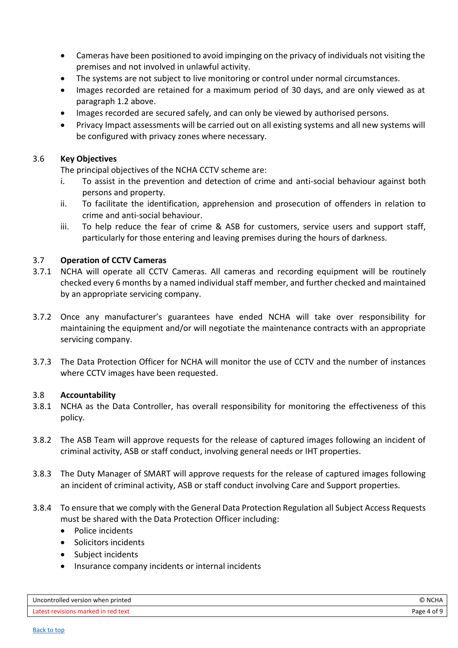- Cameras have been positioned to avoid impinging on the privacy of individuals not visiting the premises and not involved in unlawful activity.
- The systems are not subject to live monitoring or control under normal circumstances.
- Images recorded are retained for a maximum period of 30 days, and are only viewed as at paragraph 1.2 above.
- Images recorded are secured safely, and can only be viewed by authorised persons.
- Privacy Impact assessments will be carried out on all existing systems and all new systems will be configured with privacy zones where necessary.

### 3.6 **Key Objectives**

The principal objectives of the NCHA CCTV scheme are:

- i. To assist in the prevention and detection of crime and anti-social behaviour against both persons and property.
- ii. To facilitate the identification, apprehension and prosecution of offenders in relation to crime and anti-social behaviour.
- iii. To help reduce the fear of crime & ASB for customers, service users and support staff, particularly for those entering and leaving premises during the hours of darkness.

## 3.7 **Operation of CCTV Cameras**

- 3.7.1 NCHA will operate all CCTV Cameras. All cameras and recording equipment will be routinely checked every 6 months by a named individual staff member, and further checked and maintained by an appropriate servicing company.
- 3.7.2 Once any manufacturer's guarantees have ended NCHA will take over responsibility for maintaining the equipment and/or will negotiate the maintenance contracts with an appropriate servicing company.
- 3.7.3 The Data Protection Officer for NCHA will monitor the use of CCTV and the number of instances where CCTV images have been requested.

### 3.8 **Accountability**

- 3.8.1 NCHA as the Data Controller, has overall responsibility for monitoring the effectiveness of this policy.
- 3.8.2 The ASB Team will approve requests for the release of captured images following an incident of criminal activity, ASB or staff conduct, involving general needs or IHT properties.
- 3.8.3 The Duty Manager of SMART will approve requests for the release of captured images following an incident of criminal activity, ASB or staff conduct involving Care and Support properties.
- 3.8.4 To ensure that we comply with the General Data Protection Regulation all Subject Access Requests must be shared with the Data Protection Officer including:
	- Police incidents
	- Solicitors incidents
	- Subject incidents
	- Insurance company incidents or internal incidents

| Uncontrolled version when printed   | NCHA \      |
|-------------------------------------|-------------|
| Latest revisions marked in red text | Page 4 of 9 |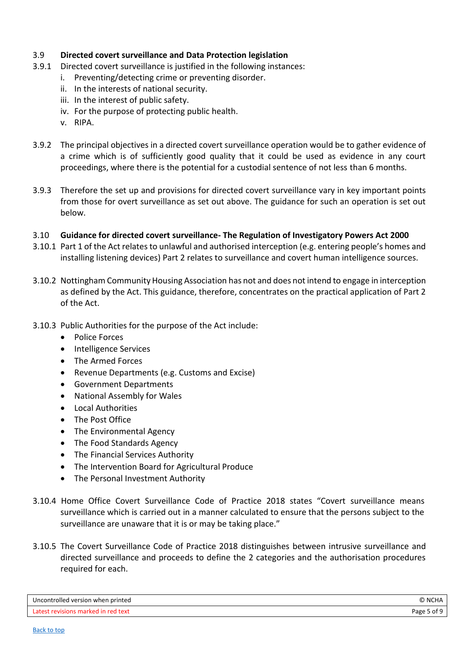## 3.9 **Directed covert surveillance and Data Protection legislation**

- 3.9.1 Directed covert surveillance is justified in the following instances:
	- i. Preventing/detecting crime or preventing disorder.
	- ii. In the interests of national security.
	- iii. In the interest of public safety.
	- iv. For the purpose of protecting public health.
	- v. RIPA.
- 3.9.2 The principal objectives in a directed covert surveillance operation would be to gather evidence of a crime which is of sufficiently good quality that it could be used as evidence in any court proceedings, where there is the potential for a custodial sentence of not less than 6 months.
- 3.9.3 Therefore the set up and provisions for directed covert surveillance vary in key important points from those for overt surveillance as set out above. The guidance for such an operation is set out below.
- 3.10 **Guidance for directed covert surveillance- The Regulation of Investigatory Powers Act 2000**
- 3.10.1 Part 1 of the Act relates to unlawful and authorised interception (e.g. entering people's homes and installing listening devices) Part 2 relates to surveillance and covert human intelligence sources.
- 3.10.2 Nottingham Community Housing Association has not and does not intend to engage in interception as defined by the Act. This guidance, therefore, concentrates on the practical application of Part 2 of the Act.
- 3.10.3 Public Authorities for the purpose of the Act include:
	- Police Forces
	- Intelligence Services
	- The Armed Forces
	- Revenue Departments (e.g. Customs and Excise)
	- Government Departments
	- National Assembly for Wales
	- Local Authorities
	- The Post Office
	- The Environmental Agency
	- The Food Standards Agency
	- The Financial Services Authority
	- The Intervention Board for Agricultural Produce
	- The Personal Investment Authority
- 3.10.4 Home Office Covert Surveillance Code of Practice 2018 states "Covert surveillance means surveillance which is carried out in a manner calculated to ensure that the persons subject to the surveillance are unaware that it is or may be taking place."
- 3.10.5 The Covert Surveillance Code of Practice 2018 distinguishes between intrusive surveillance and directed surveillance and proceeds to define the 2 categories and the authorisation procedures required for each.

| Uncontrolled version when printed   | NC'<br>.HA  |
|-------------------------------------|-------------|
| Latest revisions marked in red text | Page 5 of 9 |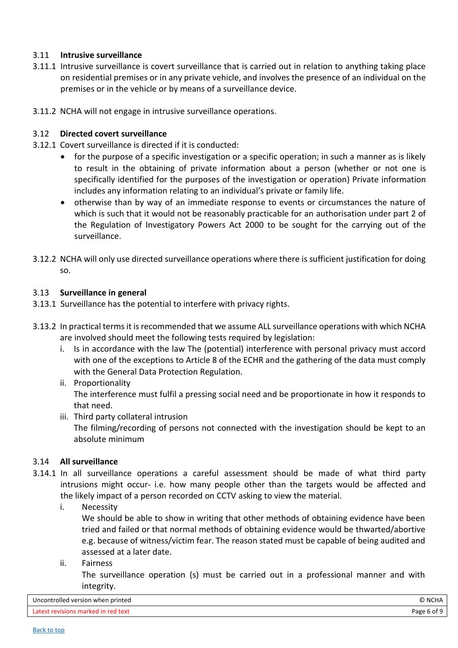## 3.11 **Intrusive surveillance**

- 3.11.1 Intrusive surveillance is covert surveillance that is carried out in relation to anything taking place on residential premises or in any private vehicle, and involves the presence of an individual on the premises or in the vehicle or by means of a surveillance device.
- 3.11.2 NCHA will not engage in intrusive surveillance operations.

## 3.12 **Directed covert surveillance**

- 3.12.1 Covert surveillance is directed if it is conducted:
	- for the purpose of a specific investigation or a specific operation; in such a manner as is likely to result in the obtaining of private information about a person (whether or not one is specifically identified for the purposes of the investigation or operation) Private information includes any information relating to an individual's private or family life.
	- otherwise than by way of an immediate response to events or circumstances the nature of which is such that it would not be reasonably practicable for an authorisation under part 2 of the Regulation of Investigatory Powers Act 2000 to be sought for the carrying out of the surveillance.
- 3.12.2 NCHA will only use directed surveillance operations where there is sufficient justification for doing so.

### 3.13 **Surveillance in general**

- 3.13.1 Surveillance has the potential to interfere with privacy rights.
- 3.13.2 In practical terms it is recommended that we assume ALL surveillance operations with which NCHA are involved should meet the following tests required by legislation:
	- i. Is in accordance with the law The (potential) interference with personal privacy must accord with one of the exceptions to Article 8 of the ECHR and the gathering of the data must comply with the General Data Protection Regulation.
	- ii. Proportionality The interference must fulfil a pressing social need and be proportionate in how it responds to that need.
	- iii. Third party collateral intrusion

The filming/recording of persons not connected with the investigation should be kept to an absolute minimum

### 3.14 **All surveillance**

- 3.14.1 In all surveillance operations a careful assessment should be made of what third party intrusions might occur- i.e. how many people other than the targets would be affected and the likely impact of a person recorded on CCTV asking to view the material.
	- i. Necessity

We should be able to show in writing that other methods of obtaining evidence have been tried and failed or that normal methods of obtaining evidence would be thwarted/abortive e.g. because of witness/victim fear. The reason stated must be capable of being audited and assessed at a later date.

ii. Fairness

The surveillance operation (s) must be carried out in a professional manner and with integrity.

| Uncontrolled version when printed   | ⋒<br><b>NCHA</b>        |
|-------------------------------------|-------------------------|
| Latest revisions marked in red text | <b>Page 6</b><br>י ot פ |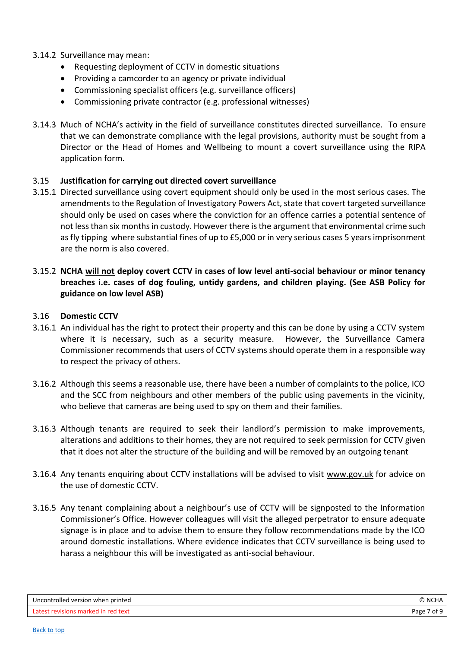- 3.14.2 Surveillance may mean:
	- Requesting deployment of CCTV in domestic situations
	- Providing a camcorder to an agency or private individual
	- Commissioning specialist officers (e.g. surveillance officers)
	- Commissioning private contractor (e.g. professional witnesses)
- 3.14.3 Much of NCHA's activity in the field of surveillance constitutes directed surveillance. To ensure that we can demonstrate compliance with the legal provisions, authority must be sought from a Director or the Head of Homes and Wellbeing to mount a covert surveillance using the RIPA application form.

## 3.15 **Justification for carrying out directed covert surveillance**

- 3.15.1 Directed surveillance using covert equipment should only be used in the most serious cases. The amendments to the Regulation of Investigatory Powers Act, state that covert targeted surveillance should only be used on cases where the conviction for an offence carries a potential sentence of not less than six months in custody. However there is the argument that environmental crime such as fly tipping where substantial fines of up to £5,000 or in very serious cases 5 years imprisonment are the norm is also covered.
- 3.15.2 **NCHA will not deploy covert CCTV in cases of low level anti-social behaviour or minor tenancy breaches i.e. cases of dog fouling, untidy gardens, and children playing. (See ASB Policy for guidance on low level ASB)**

## 3.16 **Domestic CCTV**

- 3.16.1 An individual has the right to protect their property and this can be done by using a CCTV system where it is necessary, such as a security measure. However, the Surveillance Camera Commissioner recommends that users of CCTV systems should operate them in a responsible way to respect the privacy of others.
- 3.16.2 Although this seems a reasonable use, there have been a number of complaints to the police, ICO and the SCC from neighbours and other members of the public using pavements in the vicinity, who believe that cameras are being used to spy on them and their families.
- 3.16.3 Although tenants are required to seek their landlord's permission to make improvements, alterations and additions to their homes, they are not required to seek permission for CCTV given that it does not alter the structure of the building and will be removed by an outgoing tenant
- 3.16.4 Any tenants enquiring about CCTV installations will be advised to visit [www.gov.uk](http://www.gov.uk/) for advice on the use of domestic CCTV.
- 3.16.5 Any tenant complaining about a neighbour's use of CCTV will be signposted to the Information Commissioner's Office. However colleagues will visit the alleged perpetrator to ensure adequate signage is in place and to advise them to ensure they follow recommendations made by the ICO around domestic installations. Where evidence indicates that CCTV surveillance is being used to harass a neighbour this will be investigated as anti-social behaviour.

| Uncontrolled version when printed   | I NCHA      |
|-------------------------------------|-------------|
| Latest revisions marked in red text | Page 7 of 9 |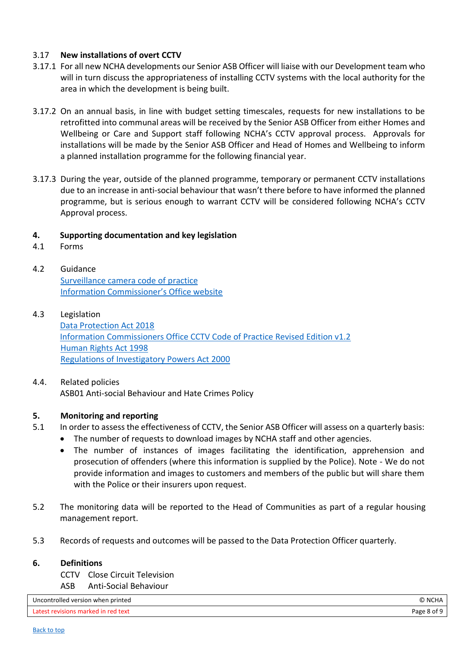## 3.17 **New installations of overt CCTV**

- 3.17.1 For all new NCHA developments our Senior ASB Officer will liaise with our Development team who will in turn discuss the appropriateness of installing CCTV systems with the local authority for the area in which the development is being built.
- 3.17.2 On an annual basis, in line with budget setting timescales, requests for new installations to be retrofitted into communal areas will be received by the Senior ASB Officer from either Homes and Wellbeing or Care and Support staff following NCHA's CCTV approval process. Approvals for installations will be made by the Senior ASB Officer and Head of Homes and Wellbeing to inform a planned installation programme for the following financial year.
- 3.17.3 During the year, outside of the planned programme, temporary or permanent CCTV installations due to an increase in anti-social behaviour that wasn't there before to have informed the planned programme, but is serious enough to warrant CCTV will be considered following NCHA's CCTV Approval process.

## <span id="page-7-0"></span>**4. Supporting documentation and key legislation**

- <span id="page-7-1"></span>4.1 Forms
- <span id="page-7-2"></span>4.2 Guidance [Surveillance camera code of practice](https://www.gov.uk/government/publications/surveillance-camera-code-of-practice) [Information Commissioner's Office website](https://ico.org.uk/for-the-public/cctv)
- <span id="page-7-3"></span>4.3 Legislation [Data Protection Act 2018](https://www.legislation.gov.uk/ukpga/2018/12/contents/enacted) [Information Commissioners Office CCTV Code of Practice Revised Edition v1.2](https://ico.org.uk/media/1542/cctv-code-of-practice.pdf) [Human Rights Act 1998](https://www.equalityhumanrights.com/en/human-rights/human-rights-act) [Regulations of Investigatory Powers Act 2000](https://www.legislation.gov.uk/ukpga/2000/23/pdfs/ukpga_20000023_en.pdf)
- <span id="page-7-4"></span>4.4. Related policies ASB01 Anti-social Behaviour and Hate Crimes Policy

## <span id="page-7-5"></span>**5. Monitoring and reporting**

- 5.1 In order to assess the effectiveness of CCTV, the Senior ASB Officer will assess on a quarterly basis:
	- The number of requests to download images by NCHA staff and other agencies.
	- The number of instances of images facilitating the identification, apprehension and prosecution of offenders (where this information is supplied by the Police). Note - We do not provide information and images to customers and members of the public but will share them with the Police or their insurers upon request.
- 5.2 The monitoring data will be reported to the Head of Communities as part of a regular housing management report.
- 5.3 Records of requests and outcomes will be passed to the Data Protection Officer quarterly.

### <span id="page-7-6"></span>**6. Definitions**

- CCTV Close Circuit Television
- ASB Anti-Social Behaviour

| Uncontrolled version when printed   |             |
|-------------------------------------|-------------|
| Latest revisions marked in red text | Page 8 of 9 |